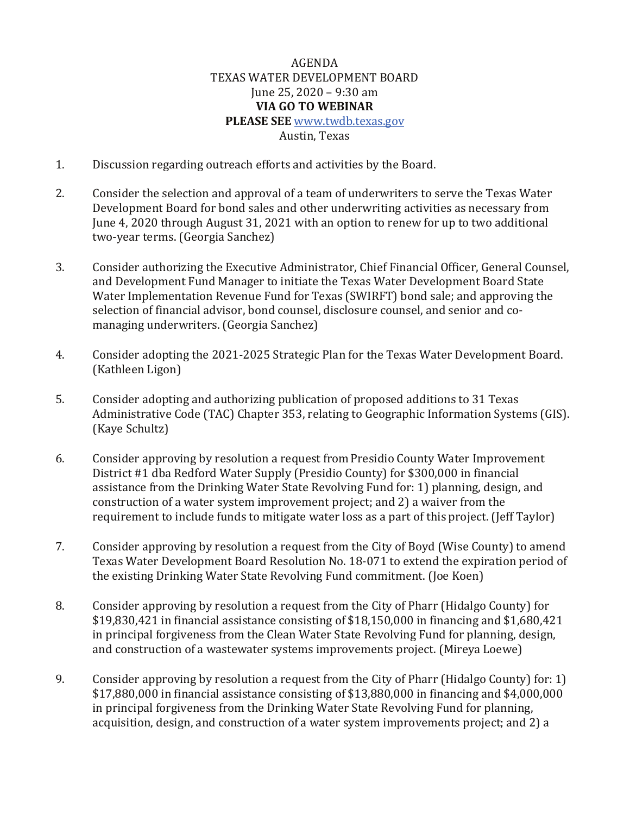## AGENDA TEXAS WATER DEVELOPMENT BOARD June 25, 2020 – 9:30 am **VIA GO TO WEBINAR PLEASE SEE** [www.twdb.texas.gov](http://www.twdb.texas.gov/) Austin, Texas

- 1. Discussion regarding outreach efforts and activities by the Board.
- 2. Consider the selection and approval of a team of underwriters to serve the Texas Water Development Board for bond sales and other underwriting activities as necessary from June 4, 2020 through August 31, 2021 with an option to renew for up to two additional two-year terms. (Georgia Sanchez)
- 3. Consider authorizing the Executive Administrator, Chief Financial Officer, General Counsel, and Development Fund Manager to initiate the Texas Water Development Board State Water Implementation Revenue Fund for Texas (SWIRFT) bond sale; and approving the selection of financial advisor, bond counsel, disclosure counsel, and senior and comanaging underwriters. (Georgia Sanchez)
- 4. Consider adopting the 2021-2025 Strategic Plan for the Texas Water Development Board. (Kathleen Ligon)
- 5. Consider adopting and authorizing publication of proposed additions to 31 Texas Administrative Code (TAC) Chapter 353, relating to Geographic Information Systems (GIS). (Kaye Schultz)
- 6. Consider approving by resolution a request fromPresidio County Water Improvement District #1 dba Redford Water Supply (Presidio County) for \$300,000 in financial assistance from the Drinking Water State Revolving Fund for: 1) planning, design, and construction of a water system improvement project; and 2) a waiver from the requirement to include funds to mitigate water loss as a part of this project. (Jeff Taylor)
- 7. Consider approving by resolution a request from the City of Boyd (Wise County) to amend Texas Water Development Board Resolution No. 18-071 to extend the expiration period of the existing Drinking Water State Revolving Fund commitment. (Joe Koen)
- 8. Consider approving by resolution a request from the City of Pharr (Hidalgo County) for \$19,830,421 in financial assistance consisting of \$18,150,000 in financing and \$1,680,421 in principal forgiveness from the Clean Water State Revolving Fund for planning, design, and construction of a wastewater systems improvements project. (Mireya Loewe)
- 9. Consider approving by resolution a request from the City of Pharr (Hidalgo County) for: 1) \$17,880,000 in financial assistance consisting of \$13,880,000 in financing and \$4,000,000 in principal forgiveness from the Drinking Water State Revolving Fund for planning, acquisition, design, and construction of a water system improvements project; and 2) a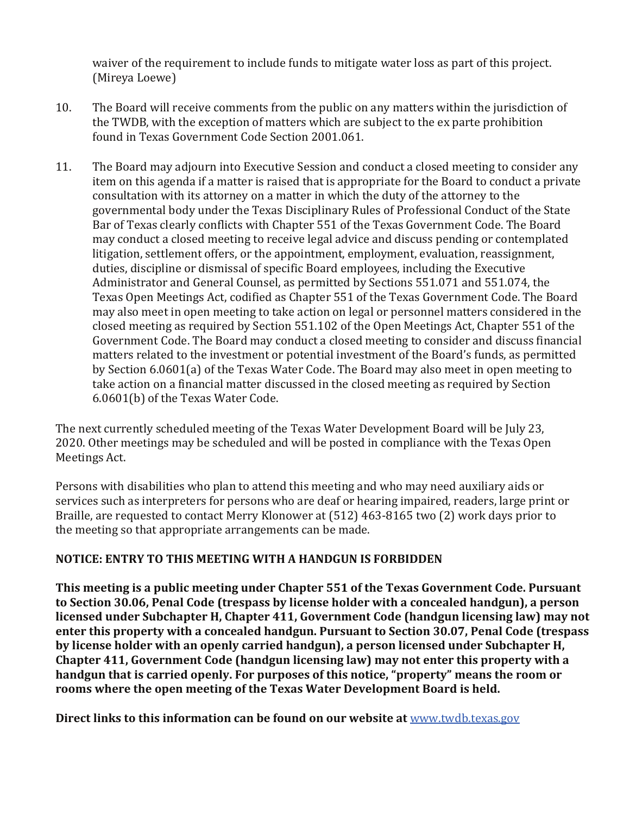waiver of the requirement to include funds to mitigate water loss as part of this project. (Mireya Loewe)

- 10. The Board will receive comments from the public on any matters within the jurisdiction of the TWDB, with the exception of matters which are subject to the ex parte prohibition found in Texas Government Code Section 2001.061.
- 11. The Board may adjourn into Executive Session and conduct a closed meeting to consider any item on this agenda if a matter is raised that is appropriate for the Board to conduct a private consultation with its attorney on a matter in which the duty of the attorney to the governmental body under the Texas Disciplinary Rules of Professional Conduct of the State Bar of Texas clearly conflicts with Chapter 551 of the Texas Government Code. The Board may conduct a closed meeting to receive legal advice and discuss pending or contemplated litigation, settlement offers, or the appointment, employment, evaluation, reassignment, duties, discipline or dismissal of specific Board employees, including the Executive Administrator and General Counsel, as permitted by Sections 551.071 and 551.074, the Texas Open Meetings Act, codified as Chapter 551 of the Texas Government Code. The Board may also meet in open meeting to take action on legal or personnel matters considered in the closed meeting as required by Section 551.102 of the Open Meetings Act, Chapter 551 of the Government Code. The Board may conduct a closed meeting to consider and discuss financial matters related to the investment or potential investment of the Board's funds, as permitted by Section 6.0601(a) of the Texas Water Code. The Board may also meet in open meeting to take action on a financial matter discussed in the closed meeting as required by Section 6.0601(b) of the Texas Water Code.

The next currently scheduled meeting of the Texas Water Development Board will be July 23, 2020. Other meetings may be scheduled and will be posted in compliance with the Texas Open Meetings Act.

Persons with disabilities who plan to attend this meeting and who may need auxiliary aids or services such as interpreters for persons who are deaf or hearing impaired, readers, large print or Braille, are requested to contact Merry Klonower at (512) 463-8165 two (2) work days prior to the meeting so that appropriate arrangements can be made.

## **NOTICE: ENTRY TO THIS MEETING WITH A HANDGUN IS FORBIDDEN**

**This meeting is a public meeting under Chapter 551 of the Texas Government Code. Pursuant to Section 30.06, Penal Code (trespass by license holder with a concealed handgun), a person licensed under Subchapter H, Chapter 411, Government Code (handgun licensing law) may not enter this property with a concealed handgun. Pursuant to Section 30.07, Penal Code (trespass by license holder with an openly carried handgun), a person licensed under Subchapter H, Chapter 411, Government Code (handgun licensing law) may not enter this property with a handgun that is carried openly. For purposes of this notice, "property" means the room or rooms where the open meeting of the Texas Water Development Board is held.** 

**Direct links to this information can be found on our website at** [www.twdb.texas.gov](http://www.twdb.texas.gov/)